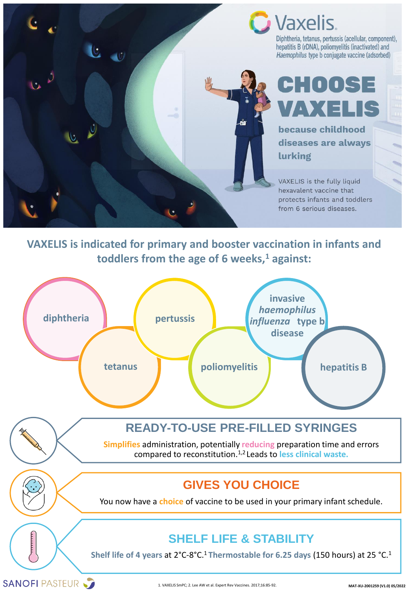



Diphtheria, tetanus, pertussis (acellular, component), hepatitis B (rDNA), poliomyelitis (inactivated) and Haemophilus type b conjugate vaccine (adsorbed)

# CHOOSE VAXELIS

because childhood diseases are always lurking

VAXELIS is the fully liquid hexavalent vaccine that protects infants and toddlers from 6 serious diseases.

#### **VAXELIS is indicated for primary and booster vaccination in infants and toddlers from the age of 6 weeks,<sup>1</sup> against:**



### **READY-TO-USE PRE-FILLED SYRINGES**

**Simplifies** administration, potentially **reducing** preparation time and errors compared to reconstitution.1,2 Leads to **less clinical waste.**

### **GIVES YOU CHOICE**

You now have a **choice** of vaccine to be used in your primary infant schedule.

## **SHELF LIFE & STABILITY**

**Shelf life of 4 years** at 2°C-8°C.<sup>1</sup>**Thermostable for 6.25 days** (150 hours) at 25 °C.<sup>1</sup>

SANOFI PASTEUR